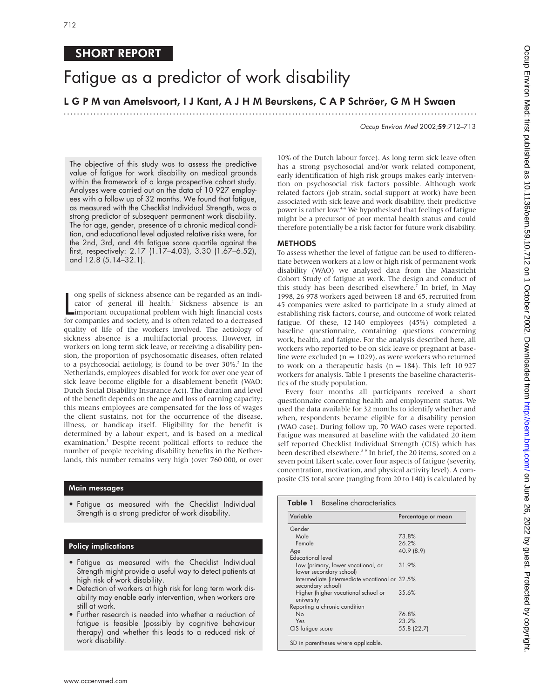# SHORT REPORT

# Fatigue as a predictor of work disability

# L G P M van Amelsvoort, I J Kant, A J H M Beurskens, C A P Schröer, G M H Swaen

.............................................................................................................................

Occup Environ Med 2002;59:712–713

The objective of this study was to assess the predictive value of fatigue for work disability on medical grounds within the framework of a large prospective cohort study. Analyses were carried out on the data of 10 927 employees with a follow up of 32 months. We found that fatigue, as measured with the Checklist Individual Strength, was a strong predictor of subsequent permanent work disability. The for age, gender, presence of a chronic medical condition, and educational level adjusted relative risks were, for the 2nd, 3rd, and 4th fatigue score quartile against the first, respectively: 2.17 (1.17–4.03), 3.30 (1.67–6.52), and 12.8 (5.14–32.1).

long spells of sickness absence can be regarded as an indicator of general ill health.<sup>1</sup> Sickness absence is an important occupational problem with high financial costs for companies and society, and is often related to a ong spells of sickness absence can be regarded as an indicator of general ill health.<sup>1</sup> Sickness absence is an important occupational problem with high financial costs quality of life of the workers involved. The aetiology of sickness absence is a multifactorial process. However, in workers on long term sick leave, or receiving a disability pension, the proportion of psychosomatic diseases, often related to a psychosocial aetiology, is found to be over 30%.<sup>2</sup> In the Netherlands, employees disabled for work for over one year of sick leave become eligible for a disablement benefit (WAO: Dutch Social Disability Insurance Act). The duration and level of the benefit depends on the age and loss of earning capacity; this means employees are compensated for the loss of wages the client sustains, not for the occurrence of the disease, illness, or handicap itself. Eligibility for the benefit is determined by a labour expert, and is based on a medical examination.3 Despite recent political efforts to reduce the number of people receiving disability benefits in the Netherlands, this number remains very high (over 760 000, or over

### Main messages

• Fatigue as measured with the Checklist Individual Strength is a strong predictor of work disability.

#### Policy implications

- Fatigue as measured with the Checklist Individual Strength might provide a useful way to detect patients at high risk of work disability.
- Detection of workers at high risk for long term work disability may enable early intervention, when workers are still at work.
- Further research is needed into whether a reduction of fatigue is feasible (possibly by cognitive behaviour therapy) and whether this leads to a reduced risk of work disability.

10% of the Dutch labour force). As long term sick leave often has a strong psychosocial and/or work related component, early identification of high risk groups makes early intervention on psychosocial risk factors possible. Although work related factors (job strain, social support at work) have been associated with sick leave and work disability, their predictive power is rather low.<sup>4-6</sup> We hypothesised that feelings of fatigue might be a precursor of poor mental health status and could therefore potentially be a risk factor for future work disability.

#### METHODS

To assess whether the level of fatigue can be used to differentiate between workers at a low or high risk of permanent work disability (WAO) we analysed data from the Maastricht Cohort Study of fatigue at work. The design and conduct of this study has been described elsewhere.<sup>7</sup> In brief, in May 1998, 26 978 workers aged between 18 and 65, recruited from 45 companies were asked to participate in a study aimed at establishing risk factors, course, and outcome of work related fatigue. Of these, 12 140 employees (45%) completed a baseline questionnaire, containing questions concerning work, health, and fatigue. For the analysis described here, all workers who reported to be on sick leave or pregnant at baseline were excluded ( $n = 1029$ ), as were workers who returned to work on a therapeutic basis ( $n = 184$ ). This left 10 927 workers for analysis. Table 1 presents the baseline characteristics of the study population.

Every four months all participants received a short questionnaire concerning health and employment status. We used the data available for 32 months to identify whether and when, respondents became eligible for a disability pension (WAO case). During follow up, 70 WAO cases were reported. Fatigue was measured at baseline with the validated 20 item self reported Checklist Individual Strength (CIS) which has been described elsewhere.<sup>8</sup> In brief, the 20 items, scored on a seven point Likert scale, cover four aspects of fatigue (severity, concentration, motivation, and physical activity level). A composite CIS total score (ranging from 20 to 140) is calculated by

| Variable                                                            | Percentage or mean |
|---------------------------------------------------------------------|--------------------|
| Gender                                                              |                    |
| Male                                                                | 73.8%              |
| Female                                                              | 26.2%              |
| Age                                                                 | 40.9 (8.9)         |
| <b>Educational level</b>                                            |                    |
| Low (primary, lower vocational, or<br>lower secondary school)       | 31.9%              |
| Intermediate (intermediate vocational or 32.5%<br>secondary school) |                    |
| Higher (higher vocational school or<br>university                   | 35.6%              |
| Reporting a chronic condition                                       |                    |
| No                                                                  | 76.8%              |
| Yes                                                                 | 23.2%              |
| CIS fatigue score                                                   | 55.8 (22.7)        |